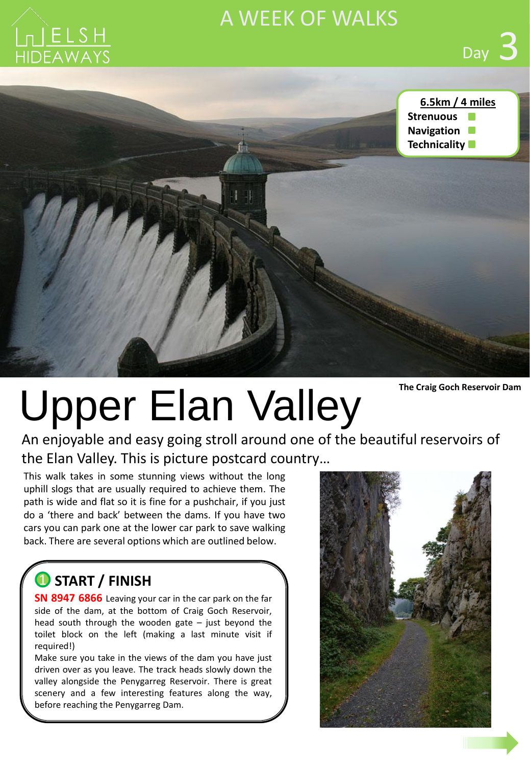

# A WEEK OF WALKS



**The Craig Goch Reservoir Dam**

# Upper Elan Valley

An enjoyable and easy going stroll around one of the beautiful reservoirs of the Elan Valley. This is picture postcard country…

This walk takes in some stunning views without the long uphill slogs that are usually required to achieve them. The path is wide and flat so it is fine for a pushchair, if you just do a 'there and back' between the dams. If you have two cars you can park one at the lower car park to save walking back. There are several options which are outlined below.

## **START / FINISH** 1

**SN 8947 6866** Leaving your car in the car park on the far side of the dam, at the bottom of Craig Goch Reservoir, head south through the wooden gate  $-$  just beyond the toilet block on the left (making a last minute visit if required!)

Make sure you take in the views of the dam you have just driven over as you leave. The track heads slowly down the valley alongside the Penygarreg Reservoir. There is great scenery and a few interesting features along the way, before reaching the Penygarreg Dam.